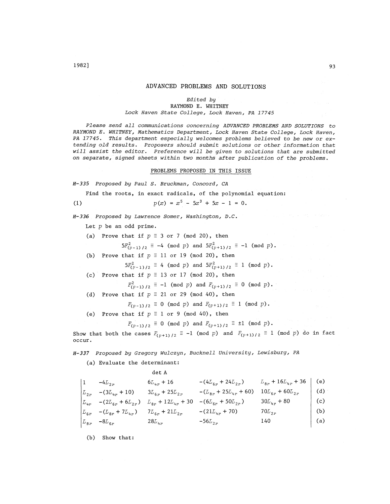## *Edited by*  RAYMOND E. WHITNEY *Lock Haven State College, Lock Haven, PA 17745*

*Please send all communications concerning ADVANCED PROBLEMS AND SOLUTIONS to RAYMOND E. WHITNEY, Mathematics Department, Lock Haven State College, Lock Haven, PA 17745. This department especially welcomes problems believed to be new or extending old results. Proposers should submit solutions or other information that will assist the editor. Preference will be given to solutions that are submitted on separate, signed sheets within two months after publication of the problems.* 

#### PROBLEMS PROPOSED IN THIS ISSUE

*H-335 Proposed by Paul S. Bruckman, Concord, CA* 

Find the roots, in exact radicals, of the polynomial equation:

(1) 
$$
p(x) = x^5 - 5x^3 + 5x - 1 = 0.
$$

*H-336 Proposed by Lawrence Somer, Washington, D.C.* 

Let  $p$  be an odd prime.

(a) Prove that if  $p \equiv 3$  or 7 (mod 20), then

 $5F_{(p-1)/2}^2 \equiv -4 \pmod{p}$  and  $5F_{(p+1)/2}^2 \equiv -1 \pmod{p}$ .

(b) Prove that if  $p \equiv 11$  or 19 (mod 20), then

 $5F(p-1)/2 = 4$  (mod p) and  $5F(p+1)/2 = 1$  (mod p).

(c) Prove that if  $p \equiv 13$  or 17 (mod 20), then

$$
F_{(p-1)/2}^2 \equiv -1 \pmod{p}
$$
 and  $F_{(p+1)/2} \equiv 0 \pmod{p}$ .

(d) Prove that if  $p \equiv 21$  or 29 (mod 40), then

$$
F_{(p-1)/2} \equiv 0 \pmod{p} \text{ and } F_{(p+1)/2} \equiv 1 \pmod{p}
$$

(e) Prove that if  $p \equiv 1$  or 9 (mod 40), then

 $F_{(p-1)/2} \equiv 0 \pmod{p}$  and  $F_{(p+1)/2} \equiv \pm 1 \pmod{p}$ .

Show that both the cases  $F_{(p+1)/2} \equiv -1 \pmod{p}$  and  $F_{(p+1)/2} \equiv 1 \pmod{p}$  do in fact occur.

*H-337 Proposed by Gregory Wulczyn, Bucknell University, Lewisburg, PA* 

(a) Evaluate the determinant:

det A

| $1 -4L_{2r}$                       | $6L_{hr} + 16$              | $-(4L_{6r} + 24L_{2r})$ $L_{8r} + 16L_{4r} + 36$ (e) |                                 |     |
|------------------------------------|-----------------------------|------------------------------------------------------|---------------------------------|-----|
| $ L_{2n} - (3L_{4n} + 10) $        | $3L_{5n}$ + $25L_{2n}$      | $-(L_{8r} + 25L_{4r} + 60)$                          | $10L_{\rm{br}} + 60L_{\rm{br}}$ | (d) |
| $L_{4r}$ – $(2L_{6r} + 6L_{2r})$   | $L_{8r}$ + 12 $L_{4r}$ + 30 | $-(6L_{6r} + 50L_{2r})$                              | $30L_{4r}$ + 80                 | (c) |
| $L_{6r}$ - $(L_{8r}$ + $7L_{4r}$ ) | $7L_{6r}$ + $21L_{2r}$      | $-(21L_{4r} + 70)$                                   | $70L_{2r}$                      | (b) |
| $ L_{8r} - 8L_{6r} $ 28 $L_{4r}$   |                             | $-56L_{2r}$                                          | 140                             | (a) |

**(b) Show that:**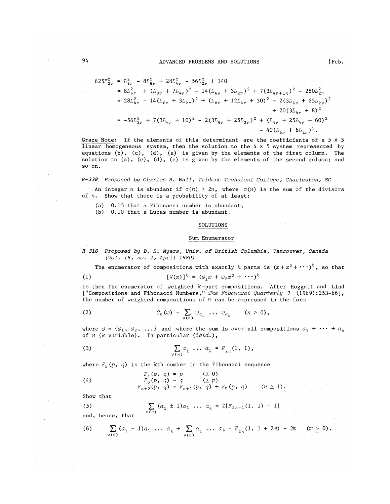# 94 ADVANCED PROBLEMS AND SOLUTIONS **[Feb.**

$$
625F_{2r}^{2} = L_{8r}^{2} - 8L_{6r}^{2} + 28L_{4r}^{2} - 56L_{2r}^{2} + 140
$$
  
\n
$$
= 8L_{6r}^{2} + (L_{8r} + 7L_{4r})^{2} - 14(L_{6r} + 3L_{2r})^{2} + 7(3L_{4r+10})^{2} - 280L_{2r}^{2}
$$
  
\n
$$
= 28L_{4r}^{2} - 14(L_{6r} + 3L_{2r})^{2} + (L_{8r} + 12L_{4r} + 30)^{2} - 2(3L_{6r} + 25L_{2r})^{2}
$$
  
\n
$$
+ 20(3L_{4r} + 8)^{2}
$$
  
\n
$$
= -56L_{2r}^{2} + 7(3L_{4r} + 10)^{2} - 2(3L_{6r} + 25L_{2r})^{2} + (L_{8r} + 25L_{4r} + 60)^{2}
$$
  
\n
$$
- 40(L_{6r} + 6L_{2r})^{2}.
$$

Grace Note; If the elements of this determinant are the coefficients of a 5 X 5 linear homogeneous system, then the solution to the 4 x 5 system represented by equations  $(b)$ ,  $(c)$ ,  $(d)$ ,  $(e)$  is given by the elements of the first column. The solution to  $(a)$ ,  $(c)$ ,  $(d)$ ,  $(e)$  is given by the elements of the second column; and so on.

*H-338 Proposed by Charles R. Wall, Trident Technical College, Charleston, SC* 

An integer *n* is abundant if  $\sigma(n) > 2n$ , where  $\sigma(n)$  is the sum of the divisors of  $n$ . Show that there is a probability of at least:

(a) 0.15 that a Fibonacci number is abundant;

(b) 0.10 that a Lucas number is abundant.

#### SOLUTIONS

## Sum Enumerator

*H-316 Proposed by B. R. Myers, Univ. of British Columbia, Vancouver, Canada (Vol. 18, no. 2, April 1980)* 

The enumerator of compositions with exactly  $k$  parts is  $(x+x^2+\cdots)^k$ , so that (1)  $[W(x)]^k = (w_1 x + w_2 x^2 + \cdots)^k$ 

is then the enumerator of weighted  $k$ -part compositions. After Hoggatt and Lind ["Compositions and Fibonacci Numbers," *The Fibonacci Quarterly* 7 (1969):253-66], the number of weighted compositions of *n* can be expressed in the form

(2) 
$$
C_n(w) = \sum_{v(n)} w_{a_1} \dots w_{a_k} \quad (n > 0),
$$

where  $w$  =  $\{w_1, w_2, \ldots\}$  and where the sum is over all compositions  $a_1 + \cdots + a_k$ of *n (k* variable). In particular *(ibid.)*,

(3) 
$$
\sum_{v(n)} a_1 \ldots a_k = F_{2n}(1, 1),
$$

where  $F_k(p, q)$  is the *k*th number in the Fibonacci sequence

(4) 
$$
F_1(p, q) = p \qquad (\geq 0)
$$
  
\n
$$
F_2(p, q) = q \qquad (\geq p)
$$
  
\n
$$
F_{n+2}(p, q) = F_{n+1}(p, q) + F_n(p, q) \qquad (n \geq 1).
$$

Show that

(5) 
$$
\sum_{v(n)} (a_1 \pm 1)a_1 \ldots a_k = 2[F_{2n-1}(1, 1) - 1]
$$
 and, hence, that

(6) 
$$
\sum_{v(n)} (a_1 - 1) a_1 \ldots a_k + \sum_{v(n)} a_1 \ldots a_k = F_{2n}(1, 1 + 2m) - 2m \quad (m \ge 0).
$$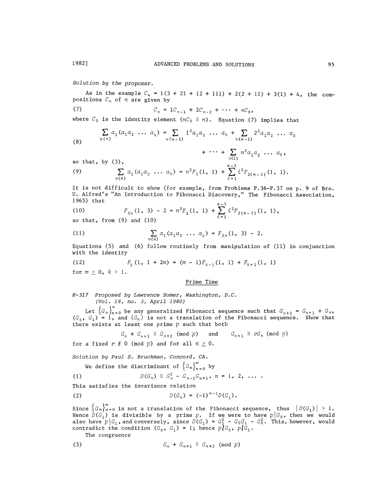*Solution by the proposer.* 

As in the example  $C_k = 1(3 + 21 + 12 + 111) + 2(2 + 11) + 3(1) + 4$ , the compositions *Cn* of *n* are given by

(7) 
$$
C_n = 1C_{n-1} + 2C_{n-2} + \cdots + nC_0,
$$

where  $C_0$  is the identity element  $(nC_0 \equiv n)$ . Equation (7) implies that

(8) 
$$
\sum_{v(n)} a_1 (a_1 a_2 \ldots a_k) = \sum_{v(n-1)} 1^2 a_1 a_2 \ldots a_k + \sum_{v(n-2)} 2^2 a_1 a_2 \ldots a_k
$$

$$
+\cdots+\sum_{\{0\}}n^2a_1a_2\ldots a_k,
$$
 so that, by (3),

(9) 
$$
\sum_{v(n)} a_1 (a_1 a_2 \ldots a_k) = n^2 F_1(1, 1) + \sum_{i=1}^{n-1} i^2 F_{2(n-i)}(1, 1).
$$

It is not difficult to show (for example, from Problems P.36-P.37 on p. 9 of Bro. U. Alfred's "An Introduction to Fibonacci Discovery," The Fibonacci Association, 1965) that

(10) 
$$
F_{2n}(1, 3) - 2 = n^2 F_1(1, 1) + \sum_{i=1}^{n-1} i^2 F_{2(n-i)}(1, 1),
$$

so that, from (9) and (10)

(11) 
$$
\sum_{v(n)} a_1 (a_1 a_2 \dots a_k) = F_{2n}(1, 3) - 2.
$$

Equations (5) and (6) follow routinely from manipulation of (11) in conjunction with the identity

(12) 
$$
F_k(1, 1 + 2m) = (m - 1)F_{k-1}(1, 1) + F_{k+1}(1, 1)
$$

for  $m \geq 0$ ,  $k > 1$ .

#### Prime Time

*11-317 Proposed by Lawrence Somer, Washington, D.C. (Vol. 18, no. 3, April 1980)* 

Let  $\{G_n\}_{n=0}$  be any generalized Fibonacci sequence such that  $G_{n+2}$  =  $G_{n+1}$  +  $G_n$  $(G_0, G_1) = 1$ , and  $\{G_n\}$  is not a translation of the Fibonacci sequence. Show that there exists at least one prime *p* such that both

$$
G_n + G_{n+1} \equiv G_{n+2} \pmod{p} \quad \text{and} \quad G_{n+1} \equiv rG_n \pmod{p}
$$

for a fixed  $r \neq 0$  (mod  $p$ ) and for all  $n \geq 0$ .

*Solution by Paul S. Bruckman, Concord, CA.* 

We define the discriminant of 
$$
\{G_n\}_{n=0}^{\infty}
$$
 by

(1) 
$$
D(G_n) \equiv G_n^2 - G_{n-1}G_{n+1}, \quad n = 1, 2, \ldots
$$

 $\mathcal{L}$ 

This satisfies the invariance relation

(2) 
$$
D(G_n) = (-1)^{n-1}D(G_1).
$$

Since  $\{G_n\}_{n=0}^{\infty}$  is not a translation of the Fibonacci sequence, thus  $|D(G_1)| > 1$ . Hence  $\mathcal{D}(\mathcal{G}_1)$  is divisible by a prime  $p$ . If we were to have  $p\,|\,\mathcal{G}_0$ , then we would also have  $p \mid G_1$ , and conversely, since  $D(G_1)$  =  $G_1^2$  -  $G_0G_1$  -  $G_0^2$ . This, however, would contradict the condition  $(G_{0} , G_{1}) = 1$ ; hence  $p_{\ell} / G_{0}$ ,  $p_{\ell} / G_{1}$ .

The congruence

$$
(3) \tGn + Gn+1 \equiv Gn+2 (mod p)
$$